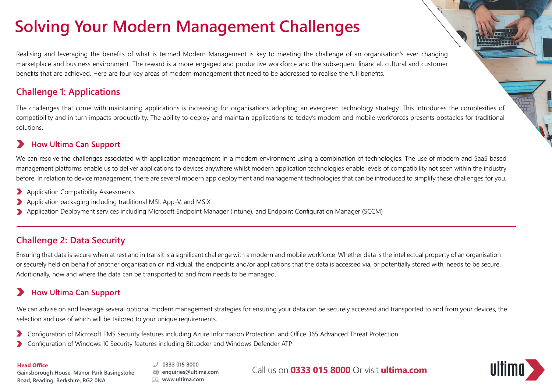# **Solving Your Modern Management Challenges**

Realising and leveraging the benefits of what is termed Modern Management is key to meeting the challenge of an organisation's ever changing marketplace and business environment. The reward is a more engaged and productive workforce and the subsequent financial, cultural and customer benefits that are achieved. Here are four key areas of modern management that need to be addressed to realise the full benefits.

#### **Challenge 1: Applications**

The challenges that come with maintaining applications is increasing for organisations adopting an evergreen technology strategy. This introduces the complexities of compatibility and in turn impacts productivity. The ability to deploy and maintain applications to today's modern and mobile workforces presents obstacles for traditional solutions.

#### **How Ultima Can Support**

We can resolve the challenges associated with application management in a modern environment using a combination of technologies. The use of modern and SaaS based management platforms enable us to deliver applications to devices anywhere whilst modern application technologies enable levels of compatibility not seen within the industry before. In relation to device management, there are several modern app deployment and management technologies that can be introduced to simplify these challenges for you.

- Application Compatibility Assessments
- Application packaging including traditional MSI, App-V, and MSIX
- Application Deployment services including Microsoft Endpoint Manager (Intune), and Endpoint Configuration Manager (SCCM)

## **Challenge 2: Data Security**

Ensuring that data is secure when at rest and in transit is a significant challenge with a modern and mobile workforce. Whether data is the intellectual property of an organisation or securely held on behalf of another organisation or individual, the endpoints and/or applications that the data is accessed via, or potentially stored with, needs to be secure. Additionally, how and where the data can be transported to and from needs to be managed.

### **How Ultima Can Support**

We can advise on and leverage several optional modern management strategies for ensuring your data can be securely accessed and transported to and from your devices, the selection and use of which will be tailored to your unique requirements.

- Configuration of Microsoft EMS Security features including Azure Information Protection, and Office 365 Advanced Threat Protection
- Configuration of Windows 10 Security features including BitLocker and Windows Defender ATP

**Gainsborough House, Manor Park Basingstoke Road, Reading, Berkshire, RG2 0NA**

**0333 015 8000 enquiries@ultima.com www.ultima.com**

Call us on **0333 015 8000** Or visit **ultima.com Head Office**